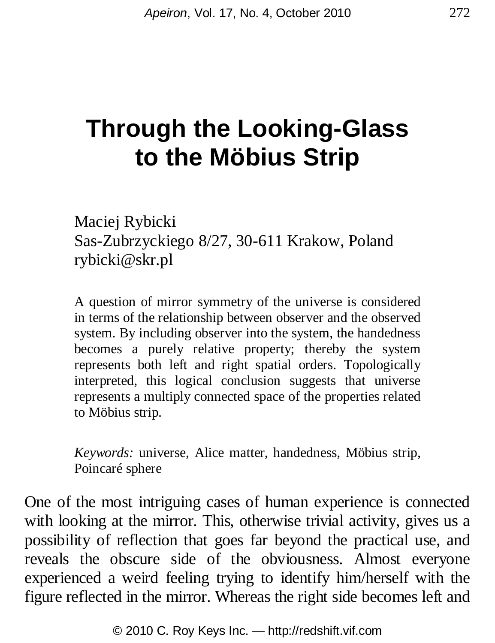## **Through the Looking-Glass to the Möbius Strip**

Maciej Rybicki Sas-Zubrzyckiego 8/27, 30-611 Krakow, Poland rybicki@skr.pl

A question of mirror symmetry of the universe is considered in terms of the relationship between observer and the observed system. By including observer into the system, the handedness becomes a purely relative property; thereby the system represents both left and right spatial orders. Topologically interpreted, this logical conclusion suggests that universe represents a multiply connected space of the properties related to Möbius strip.

*Keywords:* universe, Alice matter, handedness, Möbius strip, Poincaré sphere

One of the most intriguing cases of human experience is connected with looking at the mirror. This, otherwise trivial activity, gives us a possibility of reflection that goes far beyond the practical use, and reveals the obscure side of the obviousness. Almost everyone experienced a weird feeling trying to identify him/herself with the figure reflected in the mirror. Whereas the right side becomes left and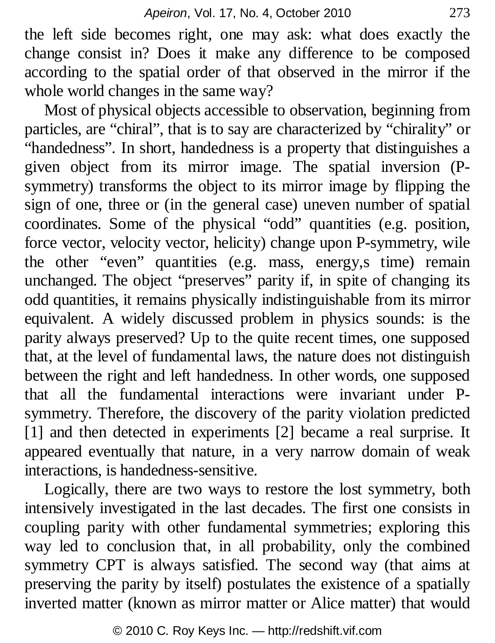the left side becomes right, one may ask: what does exactly the change consist in? Does it make any difference to be composed according to the spatial order of that observed in the mirror if the whole world changes in the same way?

Most of physical objects accessible to observation, beginning from particles, are "chiral", that is to say are characterized by "chirality" or "handedness". In short, handedness is a property that distinguishes a given object from its mirror image. The spatial inversion (Psymmetry) transforms the object to its mirror image by flipping the sign of one, three or (in the general case) uneven number of spatial coordinates. Some of the physical "odd" quantities (e.g. position, force vector, velocity vector, helicity) change upon P-symmetry, wile the other "even" quantities (e.g. mass, energy,s time) remain unchanged. The object "preserves" parity if, in spite of changing its odd quantities, it remains physically indistinguishable from its mirror equivalent. A widely discussed problem in physics sounds: is the parity always preserved? Up to the quite recent times, one supposed that, at the level of fundamental laws, the nature does not distinguish between the right and left handedness. In other words, one supposed that all the fundamental interactions were invariant under Psymmetry. Therefore, the discovery of the parity violation predicted [1] and then detected in experiments [2] became a real surprise. It appeared eventually that nature, in a very narrow domain of weak interactions, is handedness-sensitive.

Logically, there are two ways to restore the lost symmetry, both intensively investigated in the last decades. The first one consists in coupling parity with other fundamental symmetries; exploring this way led to conclusion that, in all probability, only the combined symmetry CPT is always satisfied. The second way (that aims at preserving the parity by itself) postulates the existence of a spatially inverted matter (known as mirror matter or Alice matter) that would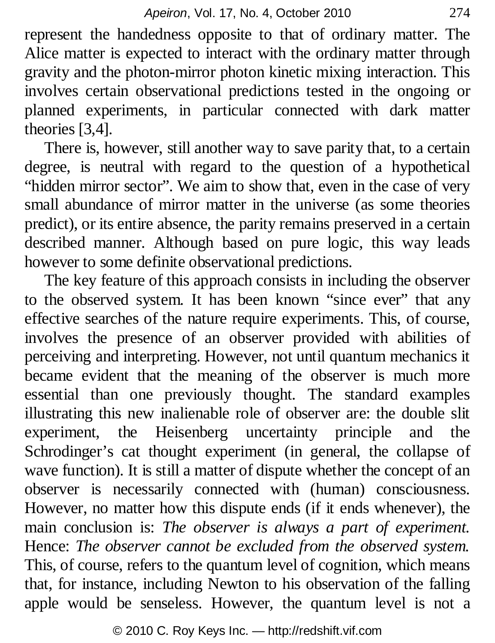represent the handedness opposite to that of ordinary matter. The Alice matter is expected to interact with the ordinary matter through gravity and the photon-mirror photon kinetic mixing interaction. This involves certain observational predictions tested in the ongoing or planned experiments, in particular connected with dark matter theories [3,4].

There is, however, still another way to save parity that, to a certain degree, is neutral with regard to the question of a hypothetical "hidden mirror sector". We aim to show that, even in the case of very small abundance of mirror matter in the universe (as some theories predict), or its entire absence, the parity remains preserved in a certain described manner. Although based on pure logic, this way leads however to some definite observational predictions.

The key feature of this approach consists in including the observer to the observed system. It has been known "since ever" that any effective searches of the nature require experiments. This, of course, involves the presence of an observer provided with abilities of perceiving and interpreting. However, not until quantum mechanics it became evident that the meaning of the observer is much more essential than one previously thought. The standard examples illustrating this new inalienable role of observer are: the double slit experiment, the Heisenberg uncertainty principle and the Schrodinger's cat thought experiment (in general, the collapse of wave function). It is still a matter of dispute whether the concept of an observer is necessarily connected with (human) consciousness. However, no matter how this dispute ends (if it ends whenever), the main conclusion is: *The observer is always a part of experiment.*  Hence: *The observer cannot be excluded from the observed system.*  This, of course, refers to the quantum level of cognition, which means that, for instance, including Newton to his observation of the falling apple would be senseless. However, the quantum level is not a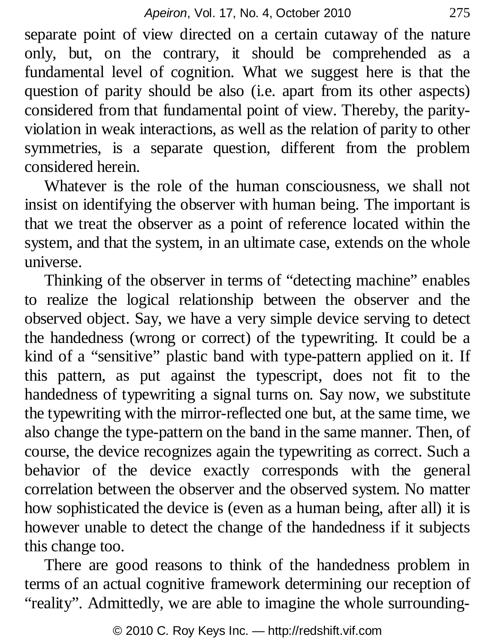separate point of view directed on a certain cutaway of the nature only, but, on the contrary, it should be comprehended as a fundamental level of cognition. What we suggest here is that the question of parity should be also (i.e. apart from its other aspects) considered from that fundamental point of view. Thereby, the parityviolation in weak interactions, as well as the relation of parity to other symmetries, is a separate question, different from the problem considered herein.

Whatever is the role of the human consciousness, we shall not insist on identifying the observer with human being. The important is that we treat the observer as a point of reference located within the system, and that the system, in an ultimate case, extends on the whole universe.

Thinking of the observer in terms of "detecting machine" enables to realize the logical relationship between the observer and the observed object. Say, we have a very simple device serving to detect the handedness (wrong or correct) of the typewriting. It could be a kind of a "sensitive" plastic band with type-pattern applied on it. If this pattern, as put against the typescript, does not fit to the handedness of typewriting a signal turns on. Say now, we substitute the typewriting with the mirror-reflected one but, at the same time, we also change the type-pattern on the band in the same manner. Then, of course, the device recognizes again the typewriting as correct. Such a behavior of the device exactly corresponds with the general correlation between the observer and the observed system. No matter how sophisticated the device is (even as a human being, after all) it is however unable to detect the change of the handedness if it subjects this change too.

There are good reasons to think of the handedness problem in terms of an actual cognitive framework determining our reception of "reality". Admittedly, we are able to imagine the whole surrounding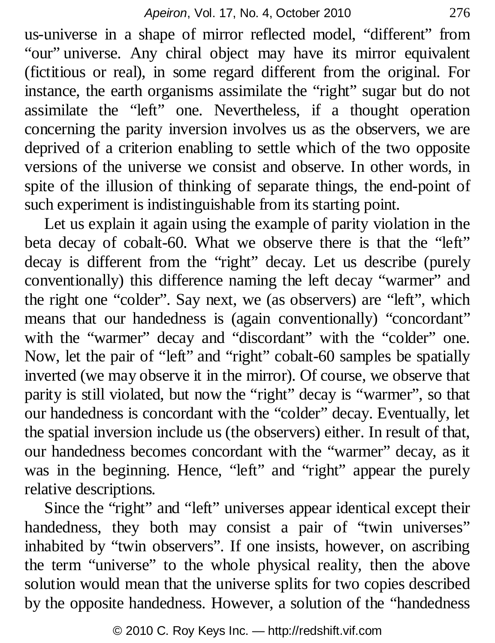us-universe in a shape of mirror reflected model, "different" from "our" universe. Any chiral object may have its mirror equivalent (fictitious or real), in some regard different from the original. For instance, the earth organisms assimilate the "right" sugar but do not assimilate the "left" one. Nevertheless, if a thought operation concerning the parity inversion involves us as the observers, we are deprived of a criterion enabling to settle which of the two opposite versions of the universe we consist and observe. In other words, in spite of the illusion of thinking of separate things, the end-point of such experiment is indistinguishable from its starting point.

Let us explain it again using the example of parity violation in the beta decay of cobalt-60. What we observe there is that the "left" decay is different from the "right" decay. Let us describe (purely conventionally) this difference naming the left decay "warmer" and the right one "colder". Say next, we (as observers) are "left", which means that our handedness is (again conventionally) "concordant" with the "warmer" decay and "discordant" with the "colder" one. Now, let the pair of "left" and "right" cobalt-60 samples be spatially inverted (we may observe it in the mirror). Of course, we observe that parity is still violated, but now the "right" decay is "warmer", so that our handedness is concordant with the "colder" decay. Eventually, let the spatial inversion include us (the observers) either. In result of that, our handedness becomes concordant with the "warmer" decay, as it was in the beginning. Hence, "left" and "right" appear the purely relative descriptions.

Since the "right" and "left" universes appear identical except their handedness, they both may consist a pair of "twin universes" inhabited by "twin observers". If one insists, however, on ascribing the term "universe" to the whole physical reality, then the above solution would mean that the universe splits for two copies described by the opposite handedness. However, a solution of the "handedness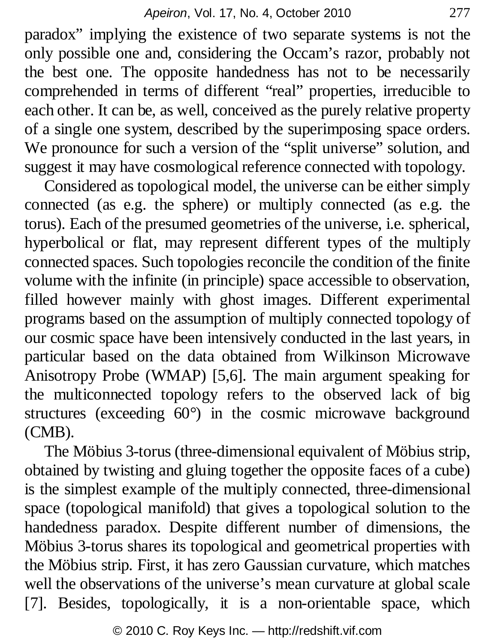paradox" implying the existence of two separate systems is not the only possible one and, considering the Occam's razor, probably not the best one. The opposite handedness has not to be necessarily comprehended in terms of different "real" properties, irreducible to each other. It can be, as well, conceived as the purely relative property of a single one system, described by the superimposing space orders. We pronounce for such a version of the "split universe" solution, and suggest it may have cosmological reference connected with topology.

Considered as topological model, the universe can be either simply connected (as e.g. the sphere) or multiply connected (as e.g. the torus). Each of the presumed geometries of the universe, i.e. spherical, hyperbolical or flat, may represent different types of the multiply connected spaces. Such topologies reconcile the condition of the finite volume with the infinite (in principle) space accessible to observation, filled however mainly with ghost images. Different experimental programs based on the assumption of multiply connected topology of our cosmic space have been intensively conducted in the last years, in particular based on the data obtained from Wilkinson Microwave Anisotropy Probe (WMAP) [5,6]. The main argument speaking for the multiconnected topology refers to the observed lack of big structures (exceeding 60°) in the cosmic microwave background (CMB).

The Möbius 3-torus (three-dimensional equivalent of Möbius strip, obtained by twisting and gluing together the opposite faces of a cube) is the simplest example of the multiply connected, three-dimensional space (topological manifold) that gives a topological solution to the handedness paradox. Despite different number of dimensions, the Möbius 3-torus shares its topological and geometrical properties with the Möbius strip. First, it has zero Gaussian curvature, which matches well the observations of the universe's mean curvature at global scale [7]. Besides, topologically, it is a non-orientable space, which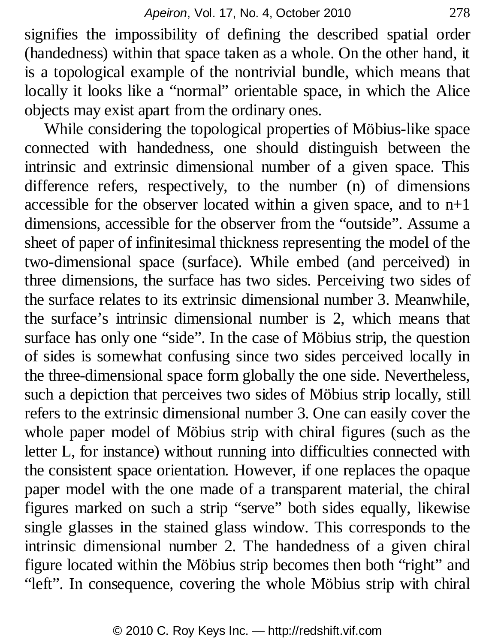signifies the impossibility of defining the described spatial order (handedness) within that space taken as a whole. On the other hand, it is a topological example of the nontrivial bundle, which means that locally it looks like a "normal" orientable space, in which the Alice objects may exist apart from the ordinary ones.

While considering the topological properties of Möbius-like space connected with handedness, one should distinguish between the intrinsic and extrinsic dimensional number of a given space. This difference refers, respectively, to the number (n) of dimensions accessible for the observer located within a given space, and to n+1 dimensions, accessible for the observer from the "outside". Assume a sheet of paper of infinitesimal thickness representing the model of the two-dimensional space (surface). While embed (and perceived) in three dimensions, the surface has two sides. Perceiving two sides of the surface relates to its extrinsic dimensional number 3. Meanwhile, the surface's intrinsic dimensional number is 2, which means that surface has only one "side". In the case of Möbius strip, the question of sides is somewhat confusing since two sides perceived locally in the three-dimensional space form globally the one side. Nevertheless, such a depiction that perceives two sides of Möbius strip locally, still refers to the extrinsic dimensional number 3. One can easily cover the whole paper model of Möbius strip with chiral figures (such as the letter L, for instance) without running into difficulties connected with the consistent space orientation. However, if one replaces the opaque paper model with the one made of a transparent material, the chiral figures marked on such a strip "serve" both sides equally, likewise single glasses in the stained glass window. This corresponds to the intrinsic dimensional number 2. The handedness of a given chiral figure located within the Möbius strip becomes then both "right" and "left". In consequence, covering the whole Möbius strip with chiral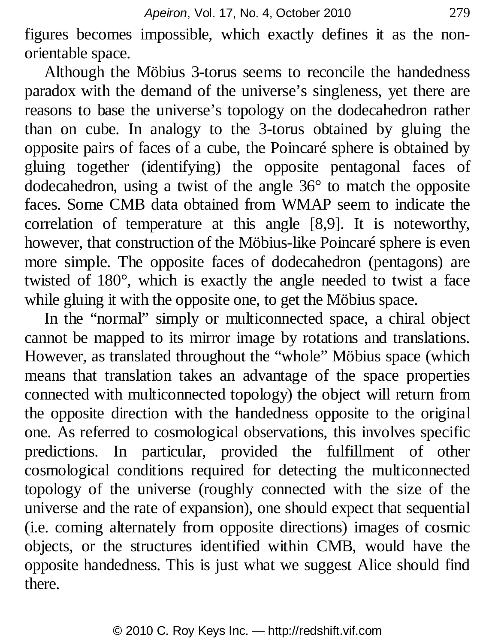figures becomes impossible, which exactly defines it as the nonorientable space.

Although the Möbius 3-torus seems to reconcile the handedness paradox with the demand of the universe's singleness, yet there are reasons to base the universe's topology on the dodecahedron rather than on cube. In analogy to the 3-torus obtained by gluing the opposite pairs of faces of a cube, the Poincaré sphere is obtained by gluing together (identifying) the opposite pentagonal faces of dodecahedron, using a twist of the angle 36° to match the opposite faces. Some CMB data obtained from WMAP seem to indicate the correlation of temperature at this angle [8,9]. It is noteworthy, however, that construction of the Möbius-like Poincaré sphere is even more simple. The opposite faces of dodecahedron (pentagons) are twisted of 180°, which is exactly the angle needed to twist a face while gluing it with the opposite one, to get the Möbius space.

In the "normal" simply or multiconnected space, a chiral object cannot be mapped to its mirror image by rotations and translations. However, as translated throughout the "whole" Möbius space (which means that translation takes an advantage of the space properties connected with multiconnected topology) the object will return from the opposite direction with the handedness opposite to the original one. As referred to cosmological observations, this involves specific predictions. In particular, provided the fulfillment of other cosmological conditions required for detecting the multiconnected topology of the universe (roughly connected with the size of the universe and the rate of expansion), one should expect that sequential (i.e. coming alternately from opposite directions) images of cosmic objects, or the structures identified within CMB, would have the opposite handedness. This is just what we suggest Alice should find there.